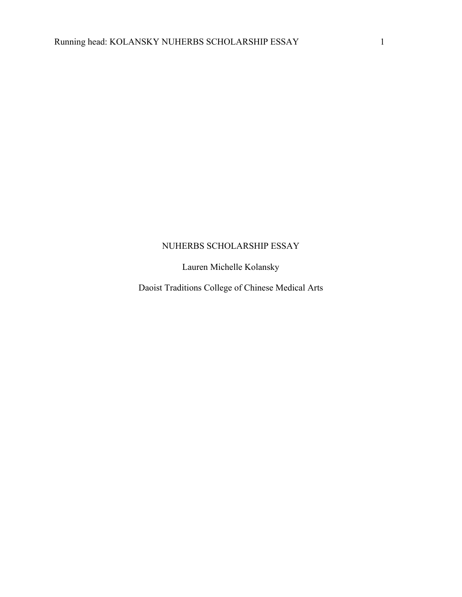## NUHERBS SCHOLARSHIP ESSAY

Lauren Michelle Kolansky

Daoist Traditions College of Chinese Medical Arts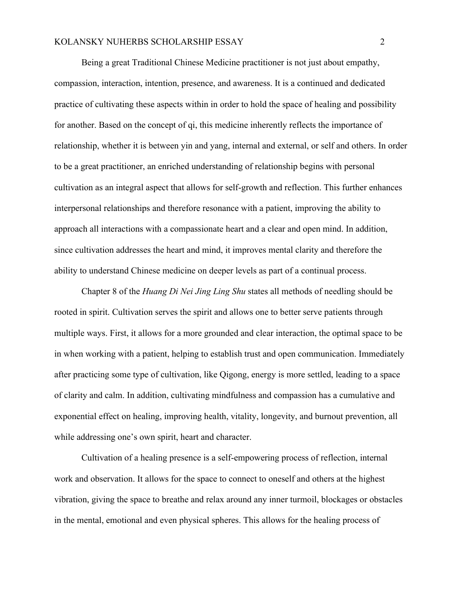Being a great Traditional Chinese Medicine practitioner is not just about empathy, compassion, interaction, intention, presence, and awareness. It is a continued and dedicated practice of cultivating these aspects within in order to hold the space of healing and possibility for another. Based on the concept of qi, this medicine inherently reflects the importance of relationship, whether it is between yin and yang, internal and external, or self and others. In order to be a great practitioner, an enriched understanding of relationship begins with personal cultivation as an integral aspect that allows for self-growth and reflection. This further enhances interpersonal relationships and therefore resonance with a patient, improving the ability to approach all interactions with a compassionate heart and a clear and open mind. In addition, since cultivation addresses the heart and mind, it improves mental clarity and therefore the ability to understand Chinese medicine on deeper levels as part of a continual process.

Chapter 8 of the *Huang Di Nei Jing Ling Shu* states all methods of needling should be rooted in spirit. Cultivation serves the spirit and allows one to better serve patients through multiple ways. First, it allows for a more grounded and clear interaction, the optimal space to be in when working with a patient, helping to establish trust and open communication. Immediately after practicing some type of cultivation, like Qigong, energy is more settled, leading to a space of clarity and calm. In addition, cultivating mindfulness and compassion has a cumulative and exponential effect on healing, improving health, vitality, longevity, and burnout prevention, all while addressing one's own spirit, heart and character.

Cultivation of a healing presence is a self-empowering process of reflection, internal work and observation. It allows for the space to connect to oneself and others at the highest vibration, giving the space to breathe and relax around any inner turmoil, blockages or obstacles in the mental, emotional and even physical spheres. This allows for the healing process of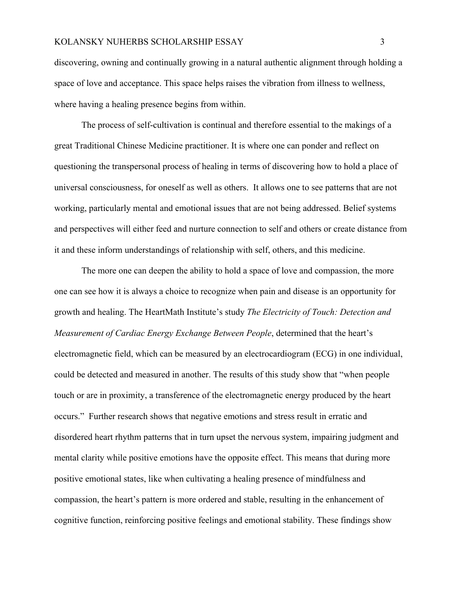discovering, owning and continually growing in a natural authentic alignment through holding a space of love and acceptance. This space helps raises the vibration from illness to wellness, where having a healing presence begins from within.

The process of self-cultivation is continual and therefore essential to the makings of a great Traditional Chinese Medicine practitioner. It is where one can ponder and reflect on questioning the transpersonal process of healing in terms of discovering how to hold a place of universal consciousness, for oneself as well as others. It allows one to see patterns that are not working, particularly mental and emotional issues that are not being addressed. Belief systems and perspectives will either feed and nurture connection to self and others or create distance from it and these inform understandings of relationship with self, others, and this medicine.

The more one can deepen the ability to hold a space of love and compassion, the more one can see how it is always a choice to recognize when pain and disease is an opportunity for growth and healing. The HeartMath Institute's study *The Electricity of Touch: Detection and Measurement of Cardiac Energy Exchange Between People*, determined that the heart's electromagnetic field, which can be measured by an electrocardiogram (ECG) in one individual, could be detected and measured in another. The results of this study show that "when people touch or are in proximity, a transference of the electromagnetic energy produced by the heart occurs." Further research shows that negative emotions and stress result in erratic and disordered heart rhythm patterns that in turn upset the nervous system, impairing judgment and mental clarity while positive emotions have the opposite effect. This means that during more positive emotional states, like when cultivating a healing presence of mindfulness and compassion, the heart's pattern is more ordered and stable, resulting in the enhancement of cognitive function, reinforcing positive feelings and emotional stability. These findings show